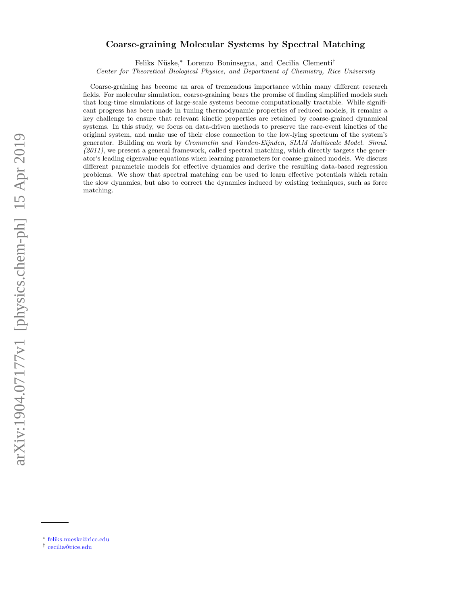# Coarse-graining Molecular Systems by Spectral Matching

Feliks Nüske,[∗](#page-0-0) Lorenzo Boninsegna, and Cecilia Clementi[†](#page-0-1)

Center for Theoretical Biological Physics, and Department of Chemistry, Rice University

Coarse-graining has become an area of tremendous importance within many different research fields. For molecular simulation, coarse-graining bears the promise of finding simplified models such that long-time simulations of large-scale systems become computationally tractable. While significant progress has been made in tuning thermodynamic properties of reduced models, it remains a key challenge to ensure that relevant kinetic properties are retained by coarse-grained dynamical systems. In this study, we focus on data-driven methods to preserve the rare-event kinetics of the original system, and make use of their close connection to the low-lying spectrum of the system's generator. Building on work by Crommelin and Vanden-Eijnden, SIAM Multiscale Model. Simul.  $(2011)$ , we present a general framework, called spectral matching, which directly targets the generator's leading eigenvalue equations when learning parameters for coarse-grained models. We discuss different parametric models for effective dynamics and derive the resulting data-based regression problems. We show that spectral matching can be used to learn effective potentials which retain the slow dynamics, but also to correct the dynamics induced by existing techniques, such as force matching.

<span id="page-0-0"></span><sup>∗</sup> [feliks.nueske@rice.edu](mailto:feliks.nueske@rice.edu)

<span id="page-0-1"></span><sup>†</sup> [cecilia@rice.edu](mailto:cecilia@rice.edu)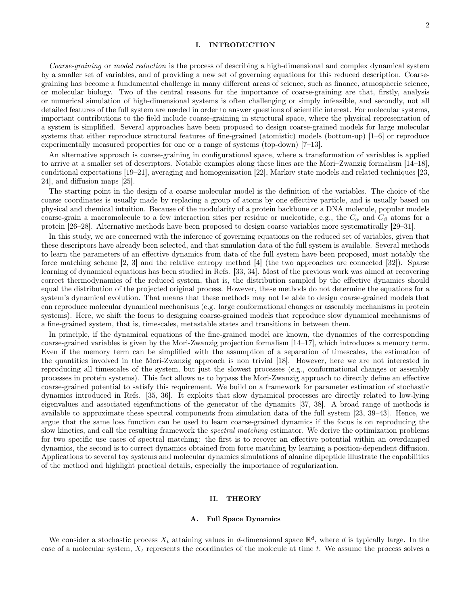## I. INTRODUCTION

Coarse-graining or model reduction is the process of describing a high-dimensional and complex dynamical system by a smaller set of variables, and of providing a new set of governing equations for this reduced description. Coarsegraining has become a fundamental challenge in many different areas of science, such as finance, atmospheric science, or molecular biology. Two of the central reasons for the importance of coarse-graining are that, firstly, analysis or numerical simulation of high-dimensional systems is often challenging or simply infeasible, and secondly, not all detailed features of the full system are needed in order to answer questions of scientific interest. For molecular systems, important contributions to the field include coarse-graining in structural space, where the physical representation of a system is simplified. Several approaches have been proposed to design coarse-grained models for large molecular systems that either reproduce structural features of fine-grained (atomistic) models (bottom-up) [\[1–](#page-11-0)[6\]](#page-11-1) or reproduce experimentally measured properties for one or a range of systems (top-down) [\[7–](#page-11-2)[13\]](#page-12-0).

An alternative approach is coarse-graining in configurational space, where a transformation of variables is applied to arrive at a smaller set of descriptors. Notable examples along these lines are the Mori–Zwanzig formalism [\[14–](#page-12-1)[18\]](#page-12-2), conditional expectations [\[19–](#page-12-3)[21\]](#page-12-4), averaging and homogenization [\[22\]](#page-12-5), Markov state models and related techniques [\[23,](#page-12-6) [24\]](#page-12-7), and diffusion maps [\[25\]](#page-12-8).

The starting point in the design of a coarse molecular model is the definition of the variables. The choice of the coarse coordinates is usually made by replacing a group of atoms by one effective particle, and is usually based on physical and chemical intuition. Because of the modularity of a protein backbone or a DNA molecule, popular models coarse-grain a macromolecule to a few interaction sites per residue or nucleotide, e.g., the  $C_{\alpha}$  and  $C_{\beta}$  atoms for a protein [\[26–](#page-12-9)[28\]](#page-12-10). Alternative methods have been proposed to design coarse variables more systematically [\[29–](#page-12-11)[31\]](#page-12-12).

In this study, we are concerned with the inference of governing equations on the reduced set of variables, given that these descriptors have already been selected, and that simulation data of the full system is available. Several methods to learn the parameters of an effective dynamics from data of the full system have been proposed, most notably the force matching scheme [\[2,](#page-11-3) [3\]](#page-11-4) and the relative entropy method [\[4\]](#page-11-5) (the two approaches are connected [\[32\]](#page-12-13)). Sparse learning of dynamical equations has been studied in Refs. [\[33,](#page-12-14) [34\]](#page-12-15). Most of the previous work was aimed at recovering correct thermodynamics of the reduced system, that is, the distribution sampled by the effective dynamics should equal the distribution of the projected original process. However, these methods do not determine the equations for a system's dynamical evolution. That means that these methods may not be able to design coarse-grained models that can reproduce molecular dynamical mechanisms (e.g. large conformational changes or assembly mechanisms in protein systems). Here, we shift the focus to designing coarse-grained models that reproduce slow dynamical mechanisms of a fine-grained system, that is, timescales, metastable states and transitions in between them.

In principle, if the dynamical equations of the fine-grained model are known, the dynamics of the corresponding coarse-grained variables is given by the Mori-Zwanzig projection formalism [\[14](#page-12-1)[–17\]](#page-12-16), which introduces a memory term. Even if the memory term can be simplified with the assumption of a separation of timescales, the estimation of the quantities involved in the Mori-Zwanzig approach is non trivial [\[18\]](#page-12-2). However, here we are not interested in reproducing all timescales of the system, but just the slowest processes (e.g., conformational changes or assembly processes in protein systems). This fact allows us to bypass the Mori-Zwanzig approach to directly define an effective coarse-grained potential to satisfy this requirement. We build on a framework for parameter estimation of stochastic dynamics introduced in Refs. [\[35,](#page-12-17) [36\]](#page-12-18). It exploits that slow dynamical processes are directly related to low-lying eigenvalues and associated eigenfunctions of the generator of the dynamics [\[37,](#page-12-19) [38\]](#page-12-20). A broad range of methods is available to approximate these spectral components from simulation data of the full system [\[23,](#page-12-6) [39–](#page-12-21)[43\]](#page-12-22). Hence, we argue that the same loss function can be used to learn coarse-grained dynamics if the focus is on reproducing the slow kinetics, and call the resulting framework the *spectral matching* estimator. We derive the optimization problems for two specific use cases of spectral matching: the first is to recover an effective potential within an overdamped dynamics, the second is to correct dynamics obtained from force matching by learning a position-dependent diffusion. Applications to several toy systems and molecular dynamics simulations of alanine dipeptide illustrate the capabilities of the method and highlight practical details, especially the importance of regularization.

### II. THEORY

#### A. Full Space Dynamics

We consider a stochastic process  $X_t$  attaining values in d-dimensional space  $\mathbb{R}^d$ , where d is typically large. In the case of a molecular system,  $X_t$  represents the coordinates of the molecule at time t. We assume the process solves a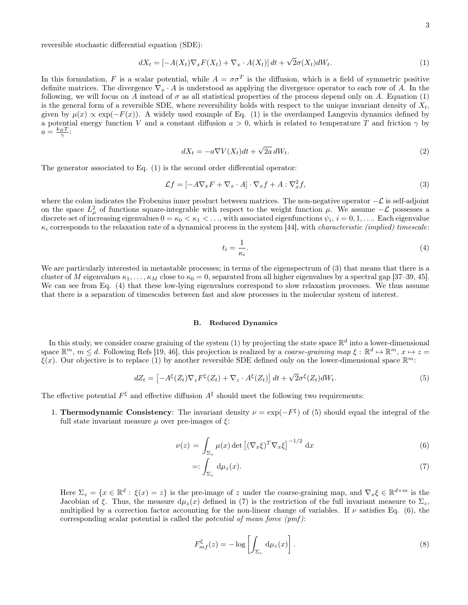reversible stochastic differential equation (SDE):

<span id="page-2-0"></span>
$$
dX_t = \left[ -A(X_t) \nabla_x F(X_t) + \nabla_x \cdot A(X_t) \right] dt + \sqrt{2} \sigma(X_t) dW_t.
$$
\n(1)

In this formulation, F is a scalar potential, while  $A = \sigma \sigma^T$  is the diffusion, which is a field of symmetric positive definite matrices. The divergence  $\nabla_x \cdot A$  is understood as applying the divergence operator to each row of A. In the following, we will focus on A instead of  $\sigma$  as all statistical properties of the process depend only on A. Equation [\(1\)](#page-2-0) is the general form of a reversible SDE, where reversibility holds with respect to the unique invariant density of  $X_t$ , given by  $\mu(x) \propto \exp(-F(x))$ . A widely used example of Eq. [\(1\)](#page-2-0) is the overdamped Langevin dynamics defined by a potential energy function V and a constant diffusion  $a > 0$ , which is related to temperature T and friction  $\gamma$  by  $a = \frac{k_B T}{\gamma}$ 

$$
dX_t = -a\nabla V(X_t)dt + \sqrt{2a}dW_t.
$$
\n(2)

The generator associated to Eq. [\(1\)](#page-2-0) is the second order differential operator:

<span id="page-2-1"></span>
$$
\mathcal{L}f = [-A\nabla_x F + \nabla_x \cdot A] \cdot \nabla_x f + A : \nabla_x^2 f,\tag{3}
$$

where the colon indicates the Frobenius inner product between matrices. The non-negative operator  $-\mathcal{L}$  is self-adjoint on the space  $L^2_\mu$  of functions square-integrable with respect to the weight function  $\mu$ . We assume  $-\mathcal{L}$  possesses a discrete set of increasing eigenvalues  $0 = \kappa_0 < \kappa_1 < \ldots$ , with associated eigenfunctions  $\psi_i$ ,  $i = 0, 1, \ldots$ . Each eigenvalue  $\kappa_i$  corresponds to the relaxation rate of a dynamical process in the system [\[44\]](#page-12-23), with *characteristic (implied) timescale:* 

<span id="page-2-2"></span>
$$
t_i = \frac{1}{\kappa_i}.\tag{4}
$$

We are particularly interested in metastable processes; in terms of the eigenspectrum of  $(3)$  that means that there is a cluster of M eigenvalues  $\kappa_1, \ldots, \kappa_M$  close to  $\kappa_0 = 0$ , separated from all higher eigenvalues by a spectral gap [\[37](#page-12-19)[–39,](#page-12-21) [45\]](#page-12-24). We can see from Eq. [\(4\)](#page-2-2) that these low-lying eigenvalues correspond to slow relaxation processes. We thus assume that there is a separation of timescales between fast and slow processes in the molecular system of interest.

# B. Reduced Dynamics

In this study, we consider coarse graining of the system [\(1\)](#page-2-0) by projecting the state space  $\mathbb{R}^d$  into a lower-dimensional space  $\mathbb{R}^m$ ,  $m \leq d$ . Following Refs [\[19,](#page-12-3) [46\]](#page-12-25), this projection is realized by a *coarse-graining map*  $\xi : \mathbb{R}^d \mapsto \mathbb{R}^m$ ,  $x \mapsto z =$  $\xi(x)$ . Our objective is to replace [\(1\)](#page-2-0) by another reversible SDE defined only on the lower-dimensional space  $\mathbb{R}^m$ :

<span id="page-2-3"></span>
$$
dZ_t = \left[ -A^{\xi}(Z_t)\nabla_z F^{\xi}(Z_t) + \nabla_z \cdot A^{\xi}(Z_t) \right] dt + \sqrt{2}\sigma^{\xi}(Z_t) dW_t.
$$
\n(5)

The effective potential  $F^{\xi}$  and effective diffusion  $A^{\xi}$  should meet the following two requirements:

1. Thermodynamic Consistency: The invariant density  $\nu = \exp(-F^{\xi})$  of [\(5\)](#page-2-3) should equal the integral of the full state invariant measure  $\mu$  over pre-images of  $\xi$ :

<span id="page-2-4"></span>
$$
\nu(z) = \int_{\Sigma_z} \mu(x) \det \left[ (\nabla_x \xi)^T \nabla_x \xi \right]^{-1/2} dx \tag{6}
$$

$$
=:\int_{\Sigma_z} \mathrm{d}\mu_z(x). \tag{7}
$$

Here  $\Sigma_z = \{x \in \mathbb{R}^d : \xi(x) = z\}$  is the pre-image of z under the coarse-graining map, and  $\nabla_x \xi \in \mathbb{R}^{d \times m}$  is the Jacobian of ξ. Thus, the measure  $d\mu_z(x)$  defined in [\(7\)](#page-2-4) is the restriction of the full invariant measure to  $\Sigma_z$ , multiplied by a correction factor accounting for the non-linear change of variables. If  $\nu$  satisfies Eq. [\(6\)](#page-2-4), the corresponding scalar potential is called the *potential of mean force*  $(pmf)$ :

$$
F_{mf}^{\xi}(z) = -\log\left[\int_{\Sigma_z} d\mu_z(x)\right].
$$
\n(8)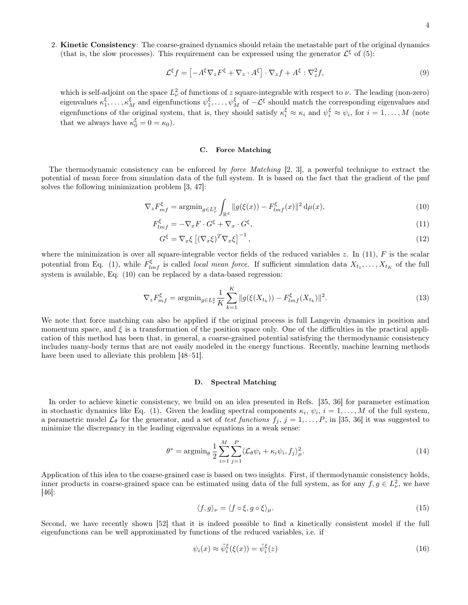2. Kinetic Consistency: The coarse-grained dynamics should retain the metastable part of the original dynamics (that is, the slow processes). This requirement can be expressed using the generator  $\mathcal{L}^{\xi}$  of [\(5\)](#page-2-3):

$$
\mathcal{L}^{\xi}f = \left[ -A^{\xi}\nabla_z F^{\xi} + \nabla_z \cdot A^{\xi} \right] \cdot \nabla_z f + A^{\xi} : \nabla_z^2 f,\tag{9}
$$

which is self-adjoint on the space  $L^2_{\nu}$  of functions of z square-integrable with respect to  $\nu$ . The leading (non-zero) eigenvalues  $\kappa_1^{\xi}, \ldots, \kappa_M^{\xi}$  and eigenfunctions  $\psi_1^{\xi}, \ldots, \psi_M^{\xi}$  of  $-\mathcal{L}^{\xi}$  should match the corresponding eigenvalues and eigenfunctions of the original system, that is, they should satisfy  $\kappa_i^{\xi} \approx \kappa_i$  and  $\psi_i^{\xi} \approx \psi_i$ , for  $i = 1, ..., M$  (note that we always have  $\kappa_0^{\xi} = 0 = \kappa_0$ .

# C. Force Matching

The thermodynamic consistency can be enforced by force Matching [\[2,](#page-11-3) [3\]](#page-11-4), a powerful technique to extract the potential of mean force from simulation data of the full system. It is based on the fact that the gradient of the pmf solves the following minimization problem [\[3,](#page-11-4) [47\]](#page-12-26):

<span id="page-3-0"></span>
$$
\nabla_z F_{mf}^{\xi} = \operatorname{argmin}_{g \in L^2_{\nu}} \int_{\mathbb{R}^d} \|g(\xi(x)) - F_{lmf}^{\xi}(x)\|^2 \, \mathrm{d}\mu(x),\tag{10}
$$

$$
F_{lmf}^{\xi} = -\nabla_x F \cdot G^{\xi} + \nabla_x \cdot G^{\xi},\tag{11}
$$

$$
G^{\xi} = \nabla_x \xi \left[ (\nabla_x \xi)^T \nabla_x \xi \right]^{-1},\tag{12}
$$

where the minimization is over all square-integrable vector fields of the reduced variables z. In  $(11)$ , F is the scalar potential from Eq. [\(1\)](#page-2-0), while  $F_{lmf}^{\xi}$  is called *local mean force*. If sufficient simulation data  $X_{t_1}, \ldots, X_{t_K}$  of the full system is available, Eq. [\(10\)](#page-3-0) can be replaced by a data-based regression:

$$
\nabla_z F_{mf}^{\xi} = \operatorname{argmin}_{g \in L_{\nu}^2} \frac{1}{K} \sum_{k=1}^K \|g(\xi(X_{t_k})) - F_{lmf}^{\xi}(X_{t_k})\|^2.
$$
\n(13)

We note that force matching can also be applied if the original process is full Langevin dynamics in position and momentum space, and  $\xi$  is a transformation of the position space only. One of the difficulties in the practical application of this method has been that, in general, a coarse-grained potential satisfying the thermodynamic consistency includes many-body terms that are not easily modeled in the energy functions. Recently, machine learning methods have been used to alleviate this problem  $|48-51|$ .

# D. Spectral Matching

In order to achieve kinetic consistency, we build on an idea presented in Refs. [\[35,](#page-12-17) [36\]](#page-12-18) for parameter estimation in stochastic dynamics like Eq. [\(1\)](#page-2-0). Given the leading spectral components  $\kappa_i, \psi_i, i = 1, ..., M$  of the full system, a parametric model  $\mathcal{L}_{\theta}$  for the generator, and a set of test functions  $f_j$ ,  $j = 1, \ldots, P$ , in [\[35,](#page-12-17) [36\]](#page-12-18) it was suggested to minimize the discrepancy in the leading eigenvalue equations in a weak sense:

<span id="page-3-2"></span>
$$
\theta^* = \operatorname{argmin}_{\theta} \frac{1}{2} \sum_{i=1}^{M} \sum_{j=1}^{P} \langle \mathcal{L}_{\theta} \psi_i + \kappa_i \psi_i, f_j \rangle_{\mu}^2.
$$
 (14)

Application of this idea to the coarse-grained case is based on two insights. First, if thermodynamic consistency holds, inner products in coarse-grained space can be estimated using data of the full system, as for any  $f, g \in L^2_{\nu}$ , we have [\[46\]](#page-12-25):

$$
\langle f, g \rangle_{\nu} = \langle f \circ \xi, g \circ \xi \rangle_{\mu}.\tag{15}
$$

Second, we have recently shown [\[52\]](#page-12-29) that it is indeed possible to find a kinetically consistent model if the full eigenfunctions can be well approximated by functions of the reduced variables, i.e. if

<span id="page-3-1"></span>
$$
\psi_i(x) \approx \tilde{\psi}_i^{\xi}(\xi(x)) = \tilde{\psi}_i^{\xi}(z)
$$
\n(16)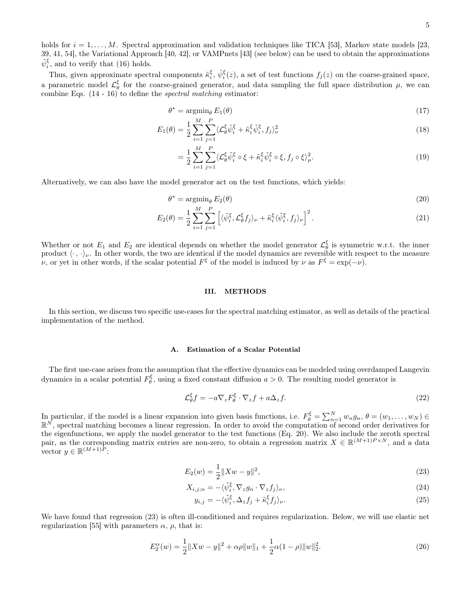holds for  $i = 1, \ldots, M$ . Spectral approximation and validation techniques like TICA [\[53\]](#page-12-30), Markov state models [\[23,](#page-12-6) [39,](#page-12-21) [41,](#page-12-31) [54\]](#page-12-32), the Variational Approach [\[40,](#page-12-33) [42\]](#page-12-34), or VAMPnets [\[43\]](#page-12-22) (see below) can be used to obtain the approximations  $\tilde{\psi}_i^{\xi}$ , and to verify that [\(16\)](#page-3-1) holds.

Thus, given approximate spectral components  $\tilde{\kappa}_i^{\xi}$ ,  $\tilde{\psi}_i^{\xi}(z)$ , a set of test functions  $f_j(z)$  on the coarse-grained space, a parametric model  $\mathcal{L}_{\theta}^{\xi}$  for the coarse-grained generator, and data sampling the full space distribution  $\mu$ , we can combine Eqs. [\(14](#page-3-2) - [16\)](#page-3-1) to define the spectral matching estimator:

$$
\theta^* = \operatorname{argmin}_{\theta} E_1(\theta) \tag{17}
$$

$$
E_1(\theta) = \frac{1}{2} \sum_{i=1}^{M} \sum_{j=1}^{P} \langle \mathcal{L}_{\theta}^{\xi} \tilde{\psi}_i^{\xi} + \tilde{\kappa}_i^{\xi} \tilde{\psi}_i^{\xi}, f_j \rangle_{\nu}^2
$$
\n(18)

$$
= \frac{1}{2} \sum_{i=1}^{M} \sum_{j=1}^{P} \langle \mathcal{L}_{\theta}^{\xi} \tilde{\psi}_{i}^{\xi} \circ \xi + \tilde{\kappa}_{i}^{\xi} \tilde{\psi}_{i}^{\xi} \circ \xi, f_{j} \circ \xi \rangle_{\mu}^{2}.
$$
 (19)

Alternatively, we can also have the model generator act on the test functions, which yields:

<span id="page-4-0"></span>
$$
\theta^* = \operatorname{argmin}_{\theta} E_2(\theta) \tag{20}
$$

$$
E_2(\theta) = \frac{1}{2} \sum_{i=1}^{M} \sum_{j=1}^{P} \left[ \langle \tilde{\psi}_i^{\xi}, \mathcal{L}_{\theta}^{\xi} f_j \rangle_{\nu} + \tilde{\kappa}_i^{\xi} \langle \tilde{\psi}_i^{\xi}, f_j \rangle_{\nu} \right]^2.
$$
 (21)

Whether or not  $E_1$  and  $E_2$  are identical depends on whether the model generator  $\mathcal{L}_{\theta}^{\xi}$  is symmetric w.r.t. the inner product  $\langle \cdot, \cdot \rangle_{\nu}$ . In other words, the two are identical if the model dynamics are reversible with respect to the measure v, or yet in other words, if the scalar potential  $F^{\xi}$  of the model is induced by v as  $F^{\xi} = \exp(-\nu)$ .

# III. METHODS

In this section, we discuss two specific use-cases for the spectral matching estimator, as well as details of the practical implementation of the method.

### A. Estimation of a Scalar Potential

The first use-case arises from the assumption that the effective dynamics can be modeled using overdamped Langevin dynamics in a scalar potential  $F_{\theta}^{\xi}$ , using a fixed constant diffusion  $a > 0$ . The resulting model generator is

<span id="page-4-2"></span>
$$
\mathcal{L}_{\theta}^{\xi} f = -a \nabla_z F_{\theta}^{\xi} \cdot \nabla_z f + a \Delta_z f. \tag{22}
$$

In particular, if the model is a linear expansion into given basis functions, i.e.  $F_{\theta}^{\xi} = \sum_{n=1}^{N} w_n g_n$ ,  $\theta = (w_1, \dots, w_N) \in \mathbb{R}^N$ , spectral matching becomes a linear regression. In order to avoid the computation o the eigenfunctions, we apply the model generator to the test functions (Eq. [20\)](#page-4-0). We also include the zeroth spectral pair, as the corresponding matrix entries are non-zero, to obtain a regression matrix  $X \in \mathbb{R}^{(M+1)P \times N}$ , and a data vector  $y \in \mathbb{R}^{(M+1)\tilde{P}}$ :

<span id="page-4-1"></span>
$$
E_2(w) = \frac{1}{2} \|Xw - y\|^2,
$$
\n(23)

$$
X_{i,j;n} = -\langle \tilde{\psi}_i^{\xi}, \nabla_z g_n \cdot \nabla_z f_j \rangle_{\nu},\tag{24}
$$

$$
y_{i,j} = -\langle \tilde{\psi}_i^{\xi}, \Delta_z f_j + \tilde{\kappa}_i^{\xi} f_j \rangle_{\nu}.
$$
 (25)

We have found that regression [\(23\)](#page-4-1) is often ill-conditioned and requires regularization. Below, we will use elastic net regularization [\[55\]](#page-12-35) with parameters  $\alpha$ ,  $\rho$ , that is:

<span id="page-4-3"></span>
$$
E_2^{\alpha}(w) = \frac{1}{2} ||Xw - y||^2 + \alpha \rho ||w||_1 + \frac{1}{2} \alpha (1 - \rho) ||w||_2^2.
$$
 (26)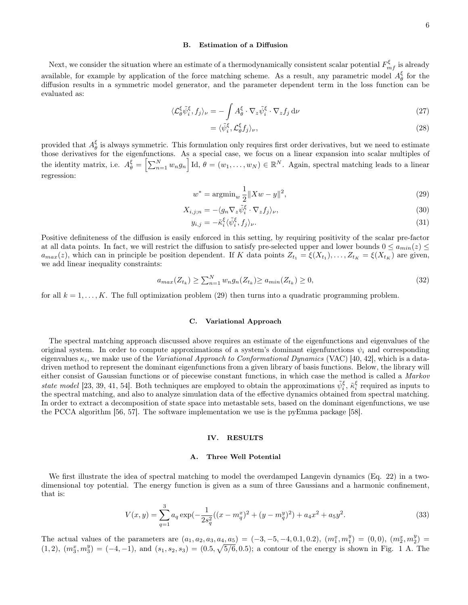# B. Estimation of a Diffusion

Next, we consider the situation where an estimate of a thermodynamically consistent scalar potential  $F_{mf}^{\xi}$  is already available, for example by application of the force matching scheme. As a result, any parametric model  $A_{\theta}^{\xi}$  for the diffusion results in a symmetric model generator, and the parameter dependent term in the loss function can be evaluated as:

$$
\langle \mathcal{L}_{\theta}^{\xi} \tilde{\psi}_{i}^{\xi}, f_{j} \rangle_{\nu} = -\int A_{\theta}^{\xi} \cdot \nabla_{z} \tilde{\psi}_{i}^{\xi} \cdot \nabla_{z} f_{j} \, \mathrm{d}\nu \tag{27}
$$

$$
= \langle \tilde{\psi}_i^{\xi}, \mathcal{L}_{\theta}^{\xi} f_j \rangle_{\nu},\tag{28}
$$

provided that  $A_{\theta}^{\xi}$  is always symmetric. This formulation only requires first order derivatives, but we need to estimate those derivatives for the eigenfunctions. As a special case, we focus on a linear expansion into scalar multiples of the identity matrix, i.e.  $A_{\theta}^{\xi} = \left[\sum_{n=1}^{N} w_n g_n\right] \mathrm{Id}, \theta = (w_1, \ldots, w_N) \in \mathbb{R}^N$ . Again, spectral matching leads to a linear regression:

<span id="page-5-0"></span>
$$
w^* = \operatorname{argmin}_{w} \frac{1}{2} \|Xw - y\|^2,
$$
\n(29)

$$
X_{i,j;n} = -\langle g_n \nabla_z \tilde{\psi}_i^{\xi} \cdot \nabla_z f_j \rangle_{\nu},\tag{30}
$$

$$
y_{i,j} = -\tilde{\kappa}_i^{\xi} \langle \tilde{\psi}_i^{\xi}, f_j \rangle_{\nu}.
$$
\n(31)

Positive definiteness of the diffusion is easily enforced in this setting, by requiring positivity of the scalar pre-factor at all data points. In fact, we will restrict the diffusion to satisfy pre-selected upper and lower bounds  $0 \le a_{min}(z) \le$  $a_{max}(z)$ , which can in principle be position dependent. If K data points  $Z_{t_1} = \xi(X_{t_1}), \ldots, Z_{t_K} = \xi(X_{t_K})$  are given, we add linear inequality constraints:

$$
a_{max}(Z_{t_k}) \ge \sum_{n=1}^{N} w_n g_n(Z_{t_k}) \ge a_{min}(Z_{t_k}) \ge 0,
$$
\n(32)

for all  $k = 1, \ldots, K$ . The full optimization problem [\(29\)](#page-5-0) then turns into a quadratic programming problem.

### C. Variational Approach

The spectral matching approach discussed above requires an estimate of the eigenfunctions and eigenvalues of the original system. In order to compute approximations of a system's dominant eigenfunctions  $\psi_i$  and corresponding eigenvalues  $\kappa_i$ , we make use of the *Variational Approach to Conformational Dynamics* (VAC) [\[40,](#page-12-33) [42\]](#page-12-34), which is a datadriven method to represent the dominant eigenfunctions from a given library of basis functions. Below, the library will either consist of Gaussian functions or of piecewise constant functions, in which case the method is called a Markov state model [\[23,](#page-12-6) [39,](#page-12-21) [41,](#page-12-31) [54\]](#page-12-32). Both techniques are employed to obtain the approximations  $\tilde{\psi}_i^{\xi}$ ,  $\tilde{\kappa}_i^{\xi}$  required as inputs to the spectral matching, and also to analyze simulation data of the effective dynamics obtained from spectral matching. In order to extract a decomposition of state space into metastable sets, based on the dominant eigenfunctions, we use the PCCA algorithm [\[56,](#page-12-36) [57\]](#page-12-37). The software implementation we use is the pyEmma package [\[58\]](#page-12-38).

### IV. RESULTS

# <span id="page-5-1"></span>A. Three Well Potential

We first illustrate the idea of spectral matching to model the overdamped Langevin dynamics (Eq. [22\)](#page-4-2) in a twodimensional toy potential. The energy function is given as a sum of three Gaussians and a harmonic confinement, that is:

<span id="page-5-2"></span>
$$
V(x,y) = \sum_{q=1}^{3} a_q \exp\left(-\frac{1}{2s_q^2}((x-m_q^x)^2 + (y-m_q^y)^2) + a_4x^2 + a_5y^2\right).
$$
 (33)

The actual values of the parameters are  $(a_1, a_2, a_3, a_4, a_5) = (-3, -5, -4, 0.1, 0.2), (m_1^x, m_1^y) = (0, 0), (m_2^x, m_2^y) =$  $(1, 2), (m_3^x, m_3^y) = (-4, -1),$  $(1, 2), (m_3^x, m_3^y) = (-4, -1),$  $(1, 2), (m_3^x, m_3^y) = (-4, -1),$  and  $(s_1, s_2, s_3) = (0.5, \sqrt{5/6}, 0.5)$ ; a contour of the energy is shown in Fig. 1 A. The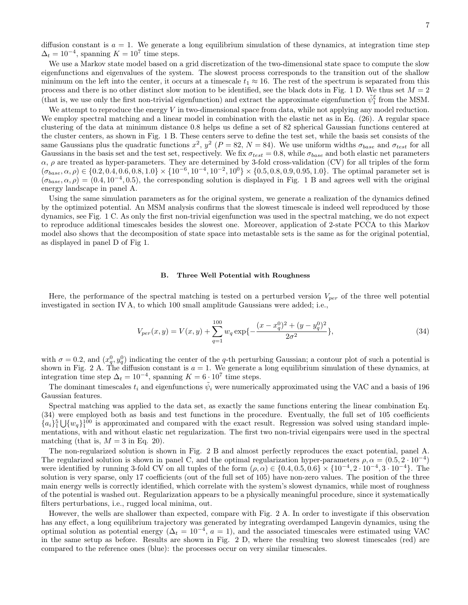diffusion constant is  $a = 1$ . We generate a long equilibrium simulation of these dynamics, at integration time step  $\Delta_t = 10^{-4}$ , spanning  $K = 10^7$  time steps.

We use a Markov state model based on a grid discretization of the two-dimensional state space to compute the slow eigenfunctions and eigenvalues of the system. The slowest process corresponds to the transition out of the shallow minimum on the left into the center, it occurs at a timescale  $t_1 \approx 16$ . The rest of the spectrum is separated from this process and there is no other distinct slow motion to be identified, see the black dots in Fig. [1](#page-7-0) D. We thus set  $M = 2$ (that is, we use only the first non-trivial eigenfunction) and extract the approximate eigenfunction  $\tilde{\psi}_1^{\xi}$  from the MSM.

We attempt to reproduce the energy  $V$  in two-dimensional space from data, while not applying any model reduction. We employ spectral matching and a linear model in combination with the elastic net as in Eq. [\(26\)](#page-4-3). A regular space clustering of the data at minimum distance 0.8 helps us define a set of 82 spherical Gaussian functions centered at the cluster centers, as shown in Fig. [1](#page-7-0) B. These centers serve to define the test set, while the basis set consists of the same Gaussians plus the quadratic functions  $x^2$ ,  $y^2$  ( $P = 82$ ,  $N = 84$ ). We use uniform widths  $\sigma_{base}$  and  $\sigma_{test}$  for all Gaussians in the basis set and the test set, respectively. We fix  $\sigma_{test} = 0.8$ , while  $\sigma_{base}$  and both elastic net parameters  $\alpha$ ,  $\rho$  are treated as hyper-parameters. They are determined by 3-fold cross-validation (CV) for all triples of the form  $(\sigma_{base}, \alpha, \rho) \in \{0.2, 0.4, 0.6, 0.8, 1.0\} \times \{10^{-6}, 10^{-4}, 10^{-2}, 10^{0}\} \times \{0.5, 0.8, 0.9, 0.95, 1.0\}$ . The optimal parameter set is  $(\sigma_{base}, \alpha, \rho) = (0.4, 10^{-4}, 0.5)$  $(\sigma_{base}, \alpha, \rho) = (0.4, 10^{-4}, 0.5)$  $(\sigma_{base}, \alpha, \rho) = (0.4, 10^{-4}, 0.5)$ , the corresponding solution is displayed in Fig. 1 B and agrees well with the original energy landscape in panel A.

Using the same simulation parameters as for the original system, we generate a realization of the dynamics defined by the optimized potential. An MSM analysis confirms that the slowest timescale is indeed well reproduced by those dynamics, see Fig. [1](#page-7-0) C. As only the first non-trivial eigenfunction was used in the spectral matching, we do not expect to reproduce additional timescales besides the slowest one. Moreover, application of 2-state PCCA to this Markov model also shows that the decomposition of state space into metastable sets is the same as for the original potential, as displayed in panel D of Fig [1.](#page-7-0)

### B. Three Well Potential with Roughness

Here, the performance of the spectral matching is tested on a perturbed version  $V_{per}$  of the three well potential investigated in section [IV A,](#page-5-1) to which 100 small amplitude Gaussians were added; i.e.,

<span id="page-6-0"></span>
$$
V_{per}(x,y) = V(x,y) + \sum_{q=1}^{100} w_q \exp\left\{-\frac{(x-x_q^0)^2 + (y-y_q^0)^2}{2\sigma^2}\right\},\tag{34}
$$

with  $\sigma = 0.2$ , and  $(x_q^0, y_q^0)$  indicating the center of the q-th perturbing Gaussian; a contour plot of such a potential is shown in Fig. [2](#page-8-0) A. The diffusion constant is  $a = 1$ . We generate a long equilibrium simulation of these dynamics, at integration time step  $\Delta_t = 10^{-4}$ , spanning  $K = 6 \cdot 10^7$  time steps.

The dominant timescales  $t_i$  and eigenfunctions  $\tilde{\psi}_i$  were numerically approximated using the VAC and a basis of 196 Gaussian features.

Spectral matching was applied to the data set, as exactly the same functions entering the linear combination Eq. [\(34\)](#page-6-0) were employed both as basis and test functions in the procedure. Eventually, the full set of 105 coefficients  ${a_i}_1^5\bigcup{w_q}_1^{100}$  is approximated and compared with the exact result. Regression was solved using standard implementations, with and without elastic net regularization. The first two non-trivial eigenpairs were used in the spectral matching (that is,  $M = 3$  in Eq. [20\)](#page-4-0).

The non-regularized solution is shown in Fig. [2](#page-8-0) B and almost perfectly reproduces the exact potential, panel A. The regularized solution is shown in panel C, and the optimal regularization hyper-parameters  $\rho, \alpha = (0.5, 2 \cdot 10^{-4})$ were identified by running 3-fold CV on all tuples of the form  $(\rho, \alpha) \in \{0.4, 0.5, 0.6\} \times \{10^{-4}, 2 \cdot 10^{-4}, 3 \cdot 10^{-4}\}.$  The solution is very sparse, only 17 coefficients (out of the full set of 105) have non-zero values. The position of the three main energy wells is correctly identified, which correlate with the system's slowest dynamics, while most of roughness of the potential is washed out. Regularization appears to be a physically meaningful procedure, since it systematically filters perturbations, i.e., rugged local minima, out.

However, the wells are shallower than expected, compare with Fig. [2](#page-8-0) A. In order to investigate if this observation has any effect, a long equilibrium trajectory was generated by integrating overdamped Langevin dynamics, using the optimal solution as potential energy  $(\Delta_t = 10^{-4}, a = 1)$ , and the associated timescales were estimated using VAC in the same setup as before. Results are shown in Fig. [2](#page-8-0) D, where the resulting two slowest timescales (red) are compared to the reference ones (blue): the processes occur on very similar timescales.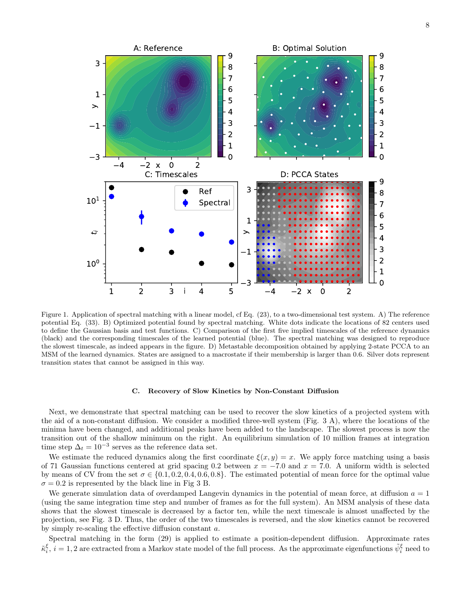

<span id="page-7-0"></span>Figure 1. Application of spectral matching with a linear model, cf Eq. [\(23\)](#page-4-1), to a two-dimensional test system. A) The reference potential Eq. [\(33\)](#page-5-2). B) Optimized potential found by spectral matching. White dots indicate the locations of 82 centers used to define the Gaussian basis and test functions. C) Comparison of the first five implied timescales of the reference dynamics (black) and the corresponding timescales of the learned potential (blue). The spectral matching was designed to reproduce the slowest timescale, as indeed appears in the figure. D) Metastable decomposition obtained by applying 2-state PCCA to an MSM of the learned dynamics. States are assigned to a macrostate if their membership is larger than 0.6. Silver dots represent transition states that cannot be assigned in this way.

# C. Recovery of Slow Kinetics by Non-Constant Diffusion

Next, we demonstrate that spectral matching can be used to recover the slow kinetics of a projected system with the aid of a non-constant diffusion. We consider a modified three-well system (Fig. [3](#page-9-0) A), where the locations of the minima have been changed, and additional peaks have been added to the landscape. The slowest process is now the transition out of the shallow minimum on the right. An equilibrium simulation of 10 million frames at integration time step  $\Delta_t = 10^{-3}$  serves as the reference data set.

We estimate the reduced dynamics along the first coordinate  $\xi(x, y) = x$ . We apply force matching using a basis of 71 Gaussian functions centered at grid spacing 0.2 between  $x = -7.0$  and  $x = 7.0$ . A uniform width is selected by means of CV from the set  $\sigma \in \{0.1, 0.2, 0.4, 0.6, 0.8\}$ . The estimated potential of mean force for the optimal value  $\sigma = 0.2$  is represented by the black line in Fig [3](#page-9-0) B.

We generate simulation data of overdamped Langevin dynamics in the potential of mean force, at diffusion  $a = 1$ (using the same integration time step and number of frames as for the full system). An MSM analysis of these data shows that the slowest timescale is decreased by a factor ten, while the next timescale is almost unaffected by the projection, see Fig. [3](#page-9-0) D. Thus, the order of the two timescales is reversed, and the slow kinetics cannot be recovered by simply re-scaling the effective diffusion constant a.

Spectral matching in the form [\(29\)](#page-5-0) is applied to estimate a position-dependent diffusion. Approximate rates  $\tilde{\kappa}_i^{\xi}, i=1,2$  are extracted from a Markov state model of the full process. As the approximate eigenfunctions  $\tilde{\psi}_i^{\xi}$  need to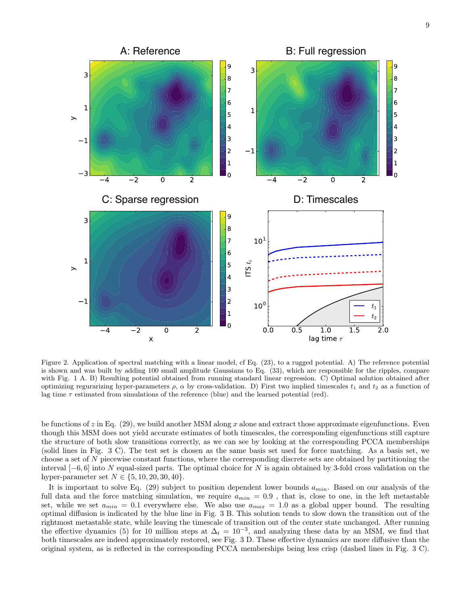

<span id="page-8-0"></span>Figure 2. Application of spectral matching with a linear model, cf Eq. [\(23\)](#page-4-1), to a rugged potential. A) The reference potential is shown and was built by adding 100 small amplitude Gaussians to Eq. [\(33\)](#page-5-2), which are responsible for the ripples, compare with Fig. [1](#page-7-0) A. B) Resulting potential obtained from running standard linear regression. C) Optimal solution obtained after optimizing regurarizing hyper-parameters  $\rho$ ,  $\alpha$  by cross-validation. D) First two implied timescales  $t_1$  and  $t_2$  as a function of lag time  $\tau$  estimated from simulations of the reference (blue) and the learned potential (red).

be functions of  $z$  in Eq. [\(29\)](#page-5-0), we build another MSM along x alone and extract those approximate eigenfunctions. Even though this MSM does not yield accurate estimates of both timescales, the corresponding eigenfunctions still capture the structure of both slow transitions correctly, as we can see by looking at the corresponding PCCA memberships (solid lines in Fig. [3](#page-9-0) C). The test set is chosen as the same basis set used for force matching. As a basis set, we choose a set of N piecewise constant functions, where the corresponding discrete sets are obtained by partitioning the interval  $[-6, 6]$  into N equal-sized parts. The optimal choice for N is again obtained by 3-fold cross validation on the hyper-parameter set  $N \in \{5, 10, 20, 30, 40\}.$ 

It is important to solve Eq. [\(29\)](#page-5-0) subject to position dependent lower bounds  $a_{min}$ . Based on our analysis of the full data and the force matching simulation, we require  $a_{min} = 0.9$ , that is, close to one, in the left metastable set, while we set  $a_{min} = 0.1$  everywhere else. We also use  $a_{max} = 1.0$  as a global upper bound. The resulting optimal diffusion is indicated by the blue line in Fig. [3](#page-9-0) B. This solution tends to slow down the transition out of the rightmost metastable state, while leaving the timescale of transition out of the center state unchanged. After running the effective dynamics [\(5\)](#page-2-3) for 10 million steps at  $\Delta_t = 10^{-3}$ , and analyzing these data by an MSM, we find that both timescales are indeed approximately restored, see Fig. [3](#page-9-0) D. These effective dynamics are more diffusive than the original system, as is reflected in the corresponding PCCA memberships being less crisp (dashed lines in Fig. [3](#page-9-0) C).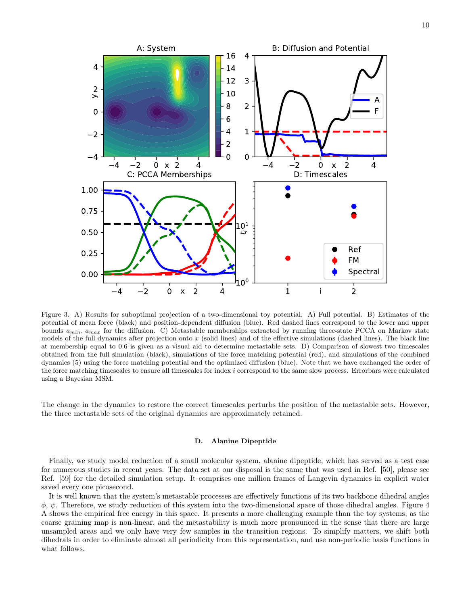

<span id="page-9-0"></span>Figure 3. A) Results for suboptimal projection of a two-dimensional toy potential. A) Full potential. B) Estimates of the potential of mean force (black) and position-dependent diffusion (blue). Red dashed lines correspond to the lower and upper bounds  $a_{min}$ ,  $a_{max}$  for the diffusion. C) Metastable memberships extracted by running three-state PCCA on Markov state models of the full dynamics after projection onto  $x$  (solid lines) and of the effective simulations (dashed lines). The black line at membership equal to 0.6 is given as a visual aid to determine metastable sets. D) Comparison of slowest two timescales obtained from the full simulation (black), simulations of the force matching potential (red), and simulations of the combined dynamics [\(5\)](#page-2-3) using the force matching potential and the optimized diffusion (blue). Note that we have exchanged the order of the force matching timescales to ensure all timescales for index i correspond to the same slow process. Errorbars were calculated using a Bayesian MSM.

The change in the dynamics to restore the correct timescales perturbs the position of the metastable sets. However, the three metastable sets of the original dynamics are approximately retained.

### D. Alanine Dipeptide

Finally, we study model reduction of a small molecular system, alanine dipeptide, which has served as a test case for numerous studies in recent years. The data set at our disposal is the same that was used in Ref. [\[50\]](#page-12-39), please see Ref. [\[59\]](#page-12-40) for the detailed simulation setup. It comprises one million frames of Langevin dynamics in explicit water saved every one picosecond.

It is well known that the system's metastable processes are effectively functions of its two backbone dihedral angles  $\phi$ ,  $\psi$ . Therefore, we study reduction of this system into the two-dimensional space of those dihedral angles. Figure [4](#page-11-6) A shows the empirical free energy in this space. It presents a more challenging example than the toy systems, as the coarse graining map is non-linear, and the metastability is much more pronounced in the sense that there are large unsampled areas and we only have very few samples in the transition regions. To simplify matters, we shift both dihedrals in order to eliminate almost all periodicity from this representation, and use non-periodic basis functions in what follows.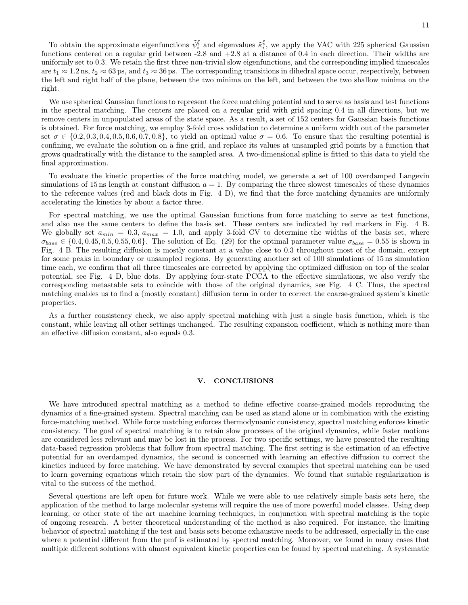We use spherical Gaussian functions to represent the force matching potential and to serve as basis and test functions in the spectral matching. The centers are placed on a regular grid with grid spacing 0.4 in all directions, but we remove centers in unpopulated areas of the state space. As a result, a set of 152 centers for Gaussian basis functions is obtained. For force matching, we employ 3-fold cross validation to determine a uniform width out of the parameter set  $\sigma \in \{0.2, 0.3, 0.4, 0.5, 0.6, 0.7, 0.8\}$ , to yield an optimal value  $\sigma = 0.6$ . To ensure that the resulting potential is confining, we evaluate the solution on a fine grid, and replace its values at unsampled grid points by a function that grows quadratically with the distance to the sampled area. A two-dimensional spline is fitted to this data to yield the final approximation.

To evaluate the kinetic properties of the force matching model, we generate a set of 100 overdamped Langevin simulations of 15 ns length at constant diffusion  $a = 1$ . By comparing the three slowest timescales of these dynamics to the reference values (red and black dots in Fig. [4](#page-11-6) D), we find that the force matching dynamics are uniformly accelerating the kinetics by about a factor three.

For spectral matching, we use the optimal Gaussian functions from force matching to serve as test functions, and also use the same centers to define the basis set. These centers are indicated by red markers in Fig. [4](#page-11-6) B. We globally set  $a_{min} = 0.3$ ,  $a_{max} = 1.0$ , and apply 3-fold CV to determine the widths of the basis set, where  $\sigma_{base} \in \{0.4, 0.45, 0.5, 0.55, 0.6\}$ . The solution of Eq. [\(29\)](#page-5-0) for the optimal parameter value  $\sigma_{base} = 0.55$  is shown in Fig. [4](#page-11-6) B. The resulting diffusion is mostly constant at a value close to 0.3 throughout most of the domain, except for some peaks in boundary or unsampled regions. By generating another set of 100 simulations of 15 ns simulation time each, we confirm that all three timescales are corrected by applying the optimized diffusion on top of the scalar potential, see Fig. [4](#page-11-6) D, blue dots. By applying four-state PCCA to the effective simulations, we also verify the corresponding metastable sets to coincide with those of the original dynamics, see Fig. [4](#page-11-6) C. Thus, the spectral matching enables us to find a (mostly constant) diffusion term in order to correct the coarse-grained system's kinetic properties.

As a further consistency check, we also apply spectral matching with just a single basis function, which is the constant, while leaving all other settings unchanged. The resulting expansion coefficient, which is nothing more than an effective diffusion constant, also equals 0.3.

### V. CONCLUSIONS

We have introduced spectral matching as a method to define effective coarse-grained models reproducing the dynamics of a fine-grained system. Spectral matching can be used as stand alone or in combination with the existing force-matching method. While force matching enforces thermodynamic consistency, spectral matching enforces kinetic consistency. The goal of spectral matching is to retain slow processes of the original dynamics, while faster motions are considered less relevant and may be lost in the process. For two specific settings, we have presented the resulting data-based regression problems that follow from spectral matching. The first setting is the estimation of an effective potential for an overdamped dynamics, the second is concerned with learning an effective diffusion to correct the kinetics induced by force matching. We have demonstrated by several examples that spectral matching can be used to learn governing equations which retain the slow part of the dynamics. We found that suitable regularization is vital to the success of the method.

Several questions are left open for future work. While we were able to use relatively simple basis sets here, the application of the method to large molecular systems will require the use of more powerful model classes. Using deep learning, or other state of the art machine learning techniques, in conjunction with spectral matching is the topic of ongoing research. A better theoretical understanding of the method is also required. For instance, the limiting behavior of spectral matching if the test and basis sets become exhaustive needs to be addressed, especially in the case where a potential different from the pmf is estimated by spectral matching. Moreover, we found in many cases that multiple different solutions with almost equivalent kinetic properties can be found by spectral matching. A systematic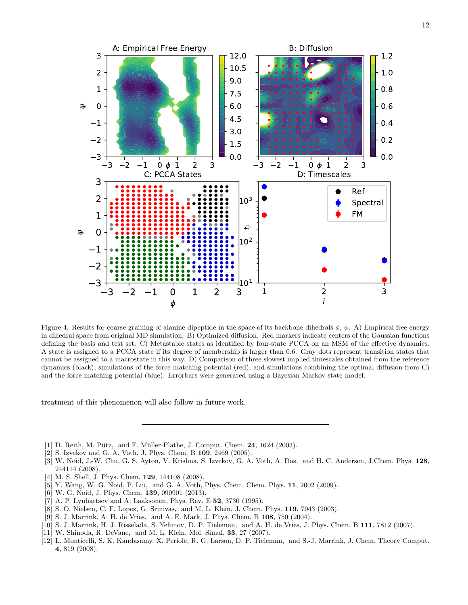

<span id="page-11-6"></span>Figure 4. Results for coarse-graining of alanine dipeptide in the space of its backbone dihedrals  $\phi$ ,  $\psi$ . A) Empirical free energy in dihedral space from original MD simulation. B) Optimized diffusion. Red markers indicate centers of the Gaussian functions defining the basis and test set. C) Metastable states as identified by four-state PCCA on an MSM of the effective dynamics. A state is assigned to a PCCA state if its degree of membership is larger than 0.6. Gray dots represent transition states that cannot be assigned to a macrostate in this way. D) Comparison of three slowest implied timescales obtained from the reference dynamics (black), simulations of the force matching potential (red), and simulations combining the optimal diffusion from C) and the force matching potential (blue). Errorbars were generated using a Bayesian Markov state model.

treatment of this phenomenon will also follow in future work.

- <span id="page-11-0"></span>[1] D. Reith, M. Pütz, and F. Müller-Plathe, J. Comput. Chem. 24, 1624 (2003).
- <span id="page-11-3"></span>[2] S. Izvekov and G. A. Voth, J. Phys. Chem. B 109, 2469 (2005).
- <span id="page-11-4"></span>[3] W. Noid, J.-W. Chu, G. S. Ayton, V. Krishna, S. Izvekov, G. A. Voth, A. Das, and H. C. Andersen, J.Chem. Phys. 128, 244114 (2008).
- <span id="page-11-5"></span>[4] M. S. Shell, J. Phys. Chem. 129, 144108 (2008).
- [5] Y. Wang, W. G. Noid, P. Liu, and G. A. Voth, Phys. Chem. Chem. Phys. 11, 2002 (2009).
- <span id="page-11-1"></span>[6] W. G. Noid, J. Phys. Chem. 139, 090901 (2013).
- <span id="page-11-2"></span>[7] A. P. Lyubartsev and A. Laaksonen, Phys. Rev. E 52, 3730 (1995).
- [8] S. O. Nielsen, C. F. Lopez, G. Srinivas, and M. L. Klein, J. Chem. Phys. 119, 7043 (2003).
- [9] S. J. Marrink, A. H. de Vries, and A. E. Mark, J. Phys. Chem. B 108, 750 (2004).
- [10] S. J. Marrink, H. J. Risselada, S. Yefimov, D. P. Tieleman, and A. H. de Vries, J. Phys. Chem. B 111, 7812 (2007).
- [11] W. Shinoda, R. DeVane, and M. L. Klein, Mol. Simul. 33, 27 (2007).
- [12] L. Monticelli, S. K. Kandasamy, X. Periole, R. G. Larson, D. P. Tieleman, and S.-J. Marrink, J. Chem. Theory Comput. 4, 819 (2008).